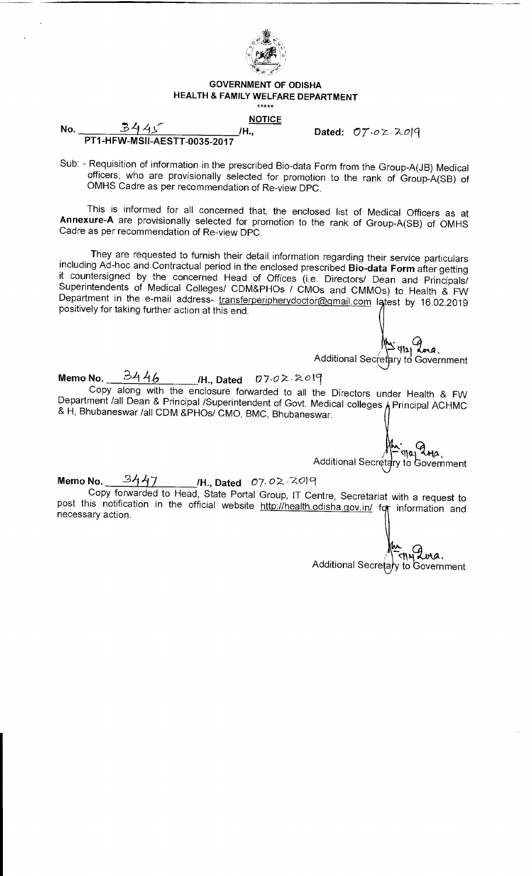

#### **GOVERNMENT OF ODISHA HEALTH & FAMILY WELFARE DEPARTMENT**  \*\*\*\*\*

# **NOTICE**

**Dated: 07,c, 2 X-09** 

No. 3445 Mo. PT1-HFW-MS11-AESTT-0035-2017

Sub: - Requisition of information in the prescribed Bio-data Form from the Group-A(JB) Medical officers, who are provisionally selected for promotion to the rank of Group-A(SB) of OMHS Cadre as per recommendation of Re-view DPC.

This is informed for all concerned that, the enclosed list of Medical Officers as at **Annexure-A** are provisionally selected for promotion to the rank of Group-A(SB) of OMHS Cadre as per recommendation of Re-view DPC.

They are requested to furnish their detail information regarding their service particulars including Ad-hoc and Contractual period in the enclosed prescribed **Bio-data Form** after getting it countersigned by the concerned Head of Offices (i.e. Directors/ Dean and Principals/ Superintendents of Medical Colleges/ CDM&PHOs / CMOs and CMMOs) to Health & FW Department in the e-mail address- transferperipherydoctor@gmail.com latest by 16.02.2019 positively for taking further action at this end.

 $M_{912}Q_{ma}$ Additional Secretary to Government

**Memo No. ,21 11-6 /H., Dated** 07.02- 201(1 Copy along with the enclosure forwarded to all the Directors under Health & FW Department /all Dean & Principal /Superintendent of Govt. Medical colleges  $h$  Principal ACHMC & H, Bhubaneswar /all CDM &PHOs/ CMO, BMC, Bhubaneswar.

 $\eta$ 2 $\eta$ Additional Secretary to Government

## **Memo No.** 3447 /H., Dated *07.0*2.2019

Copy forwarded to Head, State Portal Group, IT Centre, Secretariat with a request to post this notification in the official website http://health.odisha.gov.in/ for information and necessary action.

 $\epsilon$ 1142 avra. Additional Secretary to Government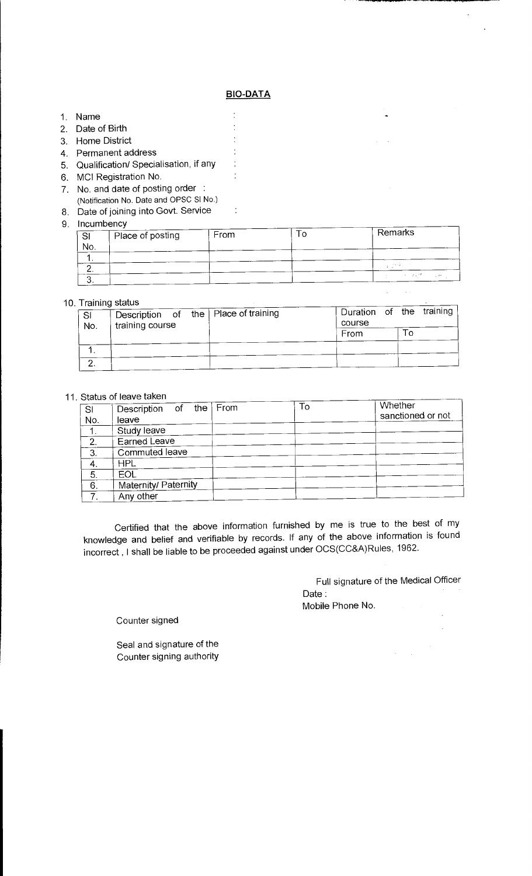### **BIO-DATA**

 $\frac{1}{2}$  $\ddot{\cdot}$  $\frac{1}{2}$  $\ddot{\cdot}$  $\ddot{\cdot}$  $\ddot{\cdot}$ 

 $\ddot{\cdot}$ 

- 1. Name
- 2. Date of Birth
- 3. Home District
- 4. Permanent address
- 5. Qualification/ Specialisation, if any
- 6. MCI Registration No.
- 7. No. and date of posting order :
- (Notification No. Date and OPSC SI No.)
- 8. Date of joining into Govt. Service
- 9. Inc

| <u>. C.</u> | Place of posting | From | Remarks |
|-------------|------------------|------|---------|
| No.         |                  |      |         |
|             |                  |      |         |
|             |                  |      |         |
| J.          |                  |      |         |

### 10. Training status

| ттанный эсасиэ |  |                 |        |                                        |  |  |                          |  |
|----------------|--|-----------------|--------|----------------------------------------|--|--|--------------------------|--|
|                |  |                 |        |                                        |  |  |                          |  |
| -SI<br>No.     |  |                 | course |                                        |  |  |                          |  |
|                |  |                 |        | From                                   |  |  |                          |  |
|                |  |                 |        |                                        |  |  |                          |  |
|                |  |                 |        |                                        |  |  |                          |  |
|                |  | training course |        | Description of the   Place of training |  |  | Duration of the training |  |

#### 11. Status of leave taken

| SI               | Description of the   | From | To | Whether           |
|------------------|----------------------|------|----|-------------------|
| No.              | leave                |      |    | sanctioned or not |
| 1.               | Study leave          |      |    |                   |
| 2.               | Earned Leave         |      |    |                   |
| 3.               | Commuted leave       |      |    |                   |
| 4.               | <b>HPL</b>           |      |    |                   |
| 5.               | <b>EOL</b>           |      |    |                   |
| $\overline{6}$ . | Maternity/ Paternity |      |    |                   |
| $\overline{7}$ . | Any other            |      |    |                   |

Certified that the above information furnished by me is true to the best of my knowledge and belief and verifiable by records. If any of the above information is found incorrect , I shall be liable to be proceeded against under OCS(CC&A)Rules, 1962.

> Full signature of the Medical Officer Date : Mobile Phone No.

Counter signed

Seal and signature of the Counter signing authority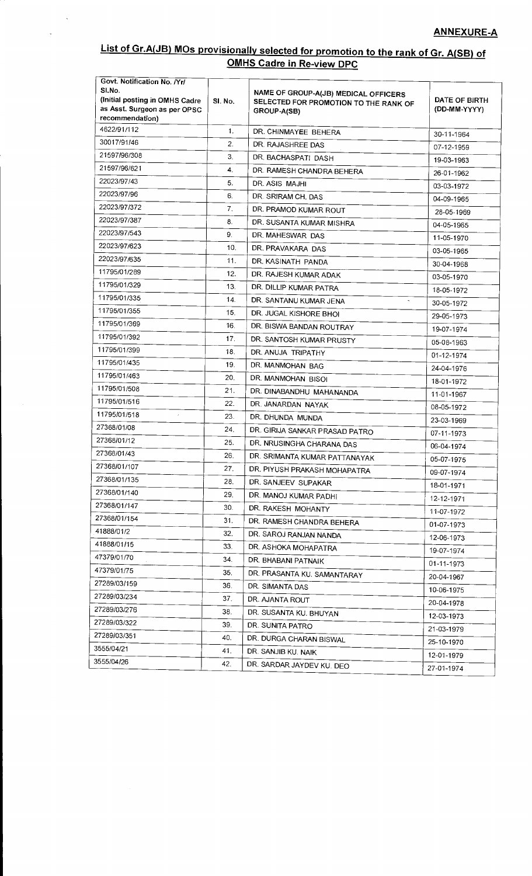# **List of Gr.A(JB) MOs provisionally selected for promotion to the rank of Gr. A(SB) of OMHS Cadre in Re-view DPC**

 $\hat{\mathcal{A}}$ 

| Govt. Notification No. /Yr/<br>SI.No.<br>(Initial posting in OMHS Cadre<br>as Asst. Surgeon as per OPSC<br>recommendation) | SI. No. | NAME OF GROUP-A(JB) MEDICAL OFFICERS<br>SELECTED FOR PROMOTION TO THE RANK OF<br>GROUP-A(SB) | DATE OF BIRTH<br>(DD-MM-YYYY) |
|----------------------------------------------------------------------------------------------------------------------------|---------|----------------------------------------------------------------------------------------------|-------------------------------|
| 4622/91/112                                                                                                                | 1.      | DR. CHINMAYEE BEHERA                                                                         | 30-11-1964                    |
| 30017/91/46                                                                                                                | 2.      | DR. RAJASHREE DAS                                                                            | 07-12-1959                    |
| 21597/96/308                                                                                                               | 3.      | DR. BACHASPATI DASH                                                                          | 19-03-1963                    |
| 21597/96/621                                                                                                               | 4.      | DR. RAMESH CHANDRA BEHERA                                                                    | 26-01-1962                    |
| 22023/97/43                                                                                                                | 5.      | DR. ASIS MAJHI                                                                               | 03-03-1972                    |
| 22023/97/96                                                                                                                | 6.      | DR. SRIRAM CH. DAS                                                                           | 04-09-1965                    |
| 22023/97/372                                                                                                               | 7.      | DR. PRAMOD KUMAR ROUT                                                                        | 28-05-1969                    |
| 22023/97/387                                                                                                               | 8.      | DR. SUSANTA KUMAR MISHRA                                                                     | 04-05-1965                    |
| 22023/97/543                                                                                                               | 9.      | DR. MAHESWAR DAS                                                                             | 11-05-1970                    |
| 22023/97/623                                                                                                               | 10.     | DR. PRAVAKARA DAS                                                                            | 03-05-1965                    |
| 22023/97/635                                                                                                               | 11.     | DR. KASINATH PANDA                                                                           | 30-04-1968                    |
| 11795/01/289                                                                                                               | 12.     | DR. RAJESH KUMAR ADAK                                                                        | 03-05-1970                    |
| 11795/01/329                                                                                                               | 13.     | DR. DILLIP KUMAR PATRA                                                                       | 18-05-1972                    |
| 11795/01/335                                                                                                               | 14.     | DR. SANTANU KUMAR JENA                                                                       | 30-05-1972                    |
| 11795/01/355                                                                                                               | 15.     | DR. JUGAL KISHORE BHOI                                                                       | 29-05-1973                    |
| 11795/01/369                                                                                                               | 16.     | DR. BISWA BANDAN ROUTRAY                                                                     | 19-07-1974                    |
| 11795/01/392                                                                                                               | 17.     | DR. SANTOSH KUMAR PRUSTY                                                                     | 05-08-1963                    |
| 11795/01/399                                                                                                               | 18.     | DR. ANUJA TRIPATHY                                                                           | 01-12-1974                    |
| 11795/01/435                                                                                                               | 19.     | DR. MANMOHAN BAG                                                                             | 24-04-1976                    |
| 11795/01/463                                                                                                               | 20.     | DR. MANMOHAN BISOI                                                                           | 18-01-1972                    |
| 11795/01/508                                                                                                               | 21.     | DR. DINABANDHU MAHANANDA                                                                     | 11-01-1967                    |
| 11795/01/516                                                                                                               | 22.     | DR. JANARDAN NAYAK                                                                           | 08-05-1972                    |
| 11795/01/518<br>$^\prime$                                                                                                  | 23.     | DR. DHUNDA MUNDA                                                                             | 23-03-1969                    |
| 27368/01/08                                                                                                                | 24.     | DR. GIRIJA SANKAR PRASAD PATRO                                                               | 07-11-1973                    |
| 27368/01/12                                                                                                                | 25.     | DR. NRUSINGHA CHARANA DAS                                                                    | 06-04-1974                    |
| 27368/01/43                                                                                                                | 26.     | DR. SRIMANTA KUMAR PATTANAYAK                                                                | 05-07-1975                    |
| 27368/01/107                                                                                                               | 27.     | DR. PIYUSH PRAKASH MOHAPATRA                                                                 | 09-07-1974                    |
| 27368/01/135                                                                                                               | 28.     | DR. SANJEEV SUPAKAR                                                                          | 18-01-1971                    |
| 27368/01/140                                                                                                               | 29.     | DR. MANOJ KUMAR PADHI                                                                        | 12-12-1971                    |
| 27368/01/147                                                                                                               | 30.     | DR. RAKESH MOHANTY                                                                           | 11-07-1972                    |
| 27368/01/154                                                                                                               | 31.     | DR. RAMESH CHANDRA BEHERA                                                                    | 01-07-1973                    |
| 41888/01/2                                                                                                                 | 32.     | DR. SAROJ RANJAN NANDA                                                                       | 12-06-1973                    |
| 41888/01/15                                                                                                                | 33.     | DR. ASHOKA MOHAPATRA                                                                         | 19-07-1974                    |
| 47379/01/70                                                                                                                | 34.     | DR. BHABANI PATNAIK                                                                          | 01-11-1973                    |
| 47379/01/75                                                                                                                | 35.     | DR. PRASANTA KU. SAMANTARAY                                                                  | 20-04-1967                    |
| 27289/03/159                                                                                                               | 36.     | DR. SIMANTA DAS                                                                              | 10-06-1975                    |
| 27289/03/234                                                                                                               | 37.     | DR. AJANTA ROUT                                                                              |                               |
| 27289/03/276                                                                                                               | 38.     | DR. SUSANTA KU. BHUYAN                                                                       | 20-04-1978                    |
| 27289/03/322                                                                                                               | 39.     | DR. SUNITA PATRO                                                                             | 12-03-1973                    |
| 27289/03/351                                                                                                               | 40.     | DR. DURGA CHARAN BISWAL                                                                      | 21-03-1979<br>25-10-1970      |
| 3555/04/21                                                                                                                 | 41.     | DR. SANJIB KU. NAIK                                                                          |                               |
| 3555/04/26                                                                                                                 | 42.     | DR. SARDAR JAYDEV KU. DEO                                                                    | 12-01-1979                    |
|                                                                                                                            |         |                                                                                              | 27-01-1974                    |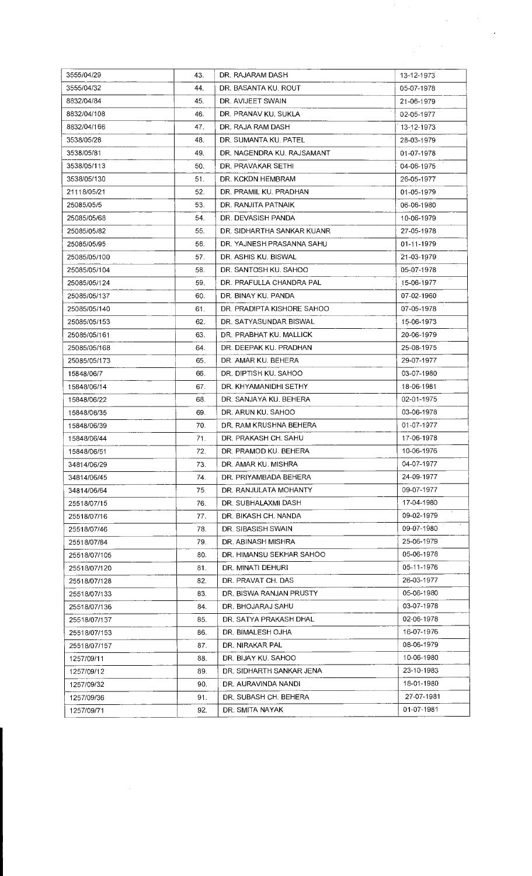|              |     |                            | $\mathcal{F}_{\rm{in}}$ . |
|--------------|-----|----------------------------|---------------------------|
|              |     |                            |                           |
| 3555/04/29   | 43. | DR. RAJARAM DASH           | 13-12-1973                |
| 3555/04/32   | 44. | DR. BASANTA KU. ROUT       | 05-07-1978                |
| 8832/04/84   | 45. | DR. AVIJEET SWAIN          | 21-06-1979                |
| 8832/04/108  | 46. | DR. PRANAV KU, SUKLA       | 02-05-1977                |
| 8832/04/166  | 47. | DR. RAJA RAM DASH          | 13-12-1973                |
| 3538/05/28   | 48. | DR. SUMANTA KU. PATEL      | 28-03-1979                |
| 3538/05/81   | 49. | DR. NAGENDRA KU. RAJSAMANT | 01-07-1978                |
| 3538/05/113  | 50. | DR. PRAVAKAR SETHI         | 04-06-1975                |
| 3538/05/130  | 51. | DR. KCKDN HEMBRAM          | 26-05-1977                |
| 21118/05/21  | 52. | DR. PRAMIL KU. PRADHAN     | 01-05-1979                |
| 25085/05/5   | 53. | DR. RANJITA PATNAIK        | 06-06-1980                |
| 25085/05/68  | 54. | DR. DEVASISH PANDA         | 10-06-1979                |
| 25085/05/82  | 55. | DR. SIDHARTHA SANKAR KUANR | 27-05-1978                |
| 25085/05/95  | 56. | DR. YAJNESH PRASANNA SAHU  | 01-11-1979                |
|              |     | DR. ASHIS KU. BISWAL       |                           |
| 25085/05/100 | 57. |                            | 21-03-1979                |
| 25085/05/104 | 58. | DR. SANTOSH KU, SAHOO      | 05-07-1978                |
| 25085/05/124 | 59. | DR. PRAFULLA CHANDRA PAL   | 15-06-1977                |
| 25085/05/137 | 60. | DR. BINAY KU. PANDA        | 07-02-1960                |
| 25085/05/140 | 61. | DR. PRADIPTA KISHORE SAHOO | 07-05-1978                |
| 25085/05/153 | 62. | DR. SATYASUNDAR BISWAL     | 15-06-1973                |
| 25085/05/161 | 63. | DR. PRABHAT KU. MALLICK    | 20-06-1979                |
| 25085/05/168 | 64. | DR. DEEPAK KU. PRADHAN     | 25-08-1975                |
| 25085/05/173 | 65. | DR. AMAR KU, BEHERA        | 29-07-1977                |
| 15848/06/7   | 66. | DR. DIPTISH KU. SAHOO      | 03-07-1980                |
| 15848/06/14  | 67. | DR. KHYAMANIDHI SETHY      | 18-06-1981                |
| 15848/06/22  | 68. | DR. SANJAYA KU. BEHERA     | 02-01-1975                |
| 15848/06/35  | 69. | DR. ARUN KU. SAHOO         | 03-06-1978                |
| 15848/06/39  | 70. | DR. RAM KRUSHNA BEHERA     | 01-07-1977                |
| 15848/06/44  | 71. | DR. PRAKASH CH. SAHU       | 17-06-1978                |
| 15848/06/51  | 72. | DR. PRAMOD KU. BEHERA      | 10-06-1976                |
| 34814/06/29  | 73. | DR. AMAR KU. MISHRA        | 04-07-1977                |
| 34814/06/45  | 74. | DR. PRIYAMBADA BEHERA      | 24-09-1977                |
| 34814/06/64  | 75. | DR. RANJULATA MOHANTY      | 09-07-1977                |
| 25518/07/15  | 76. | DR. SUBHALAXMI DASH        | 17-04-1980                |
| 25518/07/16  | 77. | DR. BIKASH CH. NANDA       | 09-02-1979                |
| 25518/07/46  | 78. | DR. SIBASISH SWAIN         | 09-07-1980                |
| 25518/07/84  | 79. | DR. ABINASH MISHRA         | 25-06-1979                |
| 25518/07/105 | 80. | DR. HIMANSU SEKHAR SAHOO   | 05-06-1978                |
| 25518/07/120 | 81. | DR. MINATI DEHURI          | 05-11-1976                |
| 25518/07/128 | 82. | DR. PRAVAT CH. DAS         | 26-03-1977                |
| 25518/07/133 | 83. | DR. BISWA RANJAN PRUSTY    | 05-06-1980                |
| 25518/07/136 | 84. | DR. BHOJARAJ SAHU          | 03-07-1978                |
| 25518/07/137 | 85. | DR. SATYA PRAKASH DHAL     | 02-06-1978                |
| 25518/07/153 | 86. | DR. BIMALESH OJHA          | 16-07-1976                |
| 25518/07/157 | 87. | DR. NIRAKAR PAL            | 08-06-1979                |
| 1257/09/11   | 88. | DR. BIJAY KU. SAHOO        | 10-06-1980                |
| 1257/09/12   | 89. | DR. SIDHARTH SANKAR JENA   | 23-10-1983                |
| 1257/09/32   | 90. | DR. AURAVINDA NANDI        | 18-01-1980                |
| 1257/09/36   | 91. | DR. SUBASH CH. BEHERA      | 27-07-1981                |
| 1257/09/71   | 92. | DR. SMITA NAYAK            | 01-07-1981                |
|              |     |                            |                           |